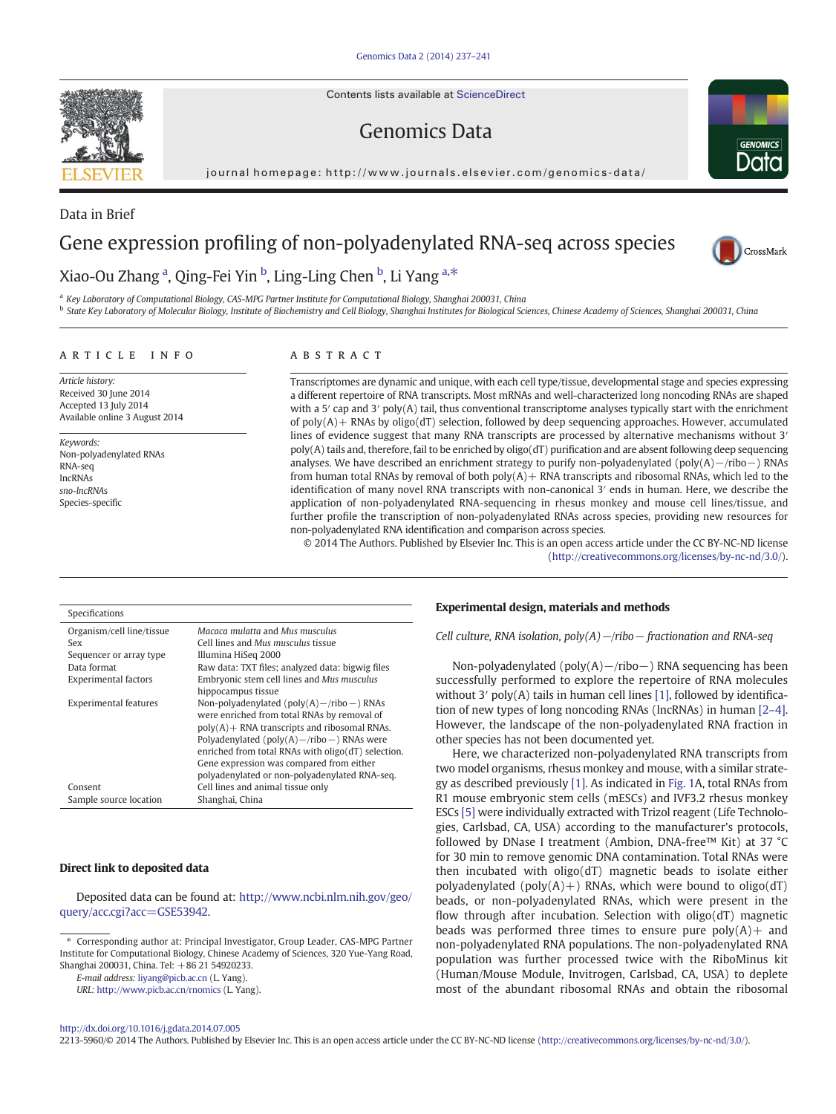Contents lists available at [ScienceDirect](http://www.sciencedirect.com/science/journal/22135960)

# Genomics Data

journal homepage: http://www.journals.elsevier.com/genomics-data/



Data in Brief

# Gene expression profiling of non-polyadenylated RNA-seq across species



## Xiao-Ou Zhang <sup>a</sup>, Qing-Fei Yin <sup>b</sup>, Ling-Ling Chen <sup>b</sup>, Li Yang <sup>a,\*</sup>

<sup>a</sup> Key Laboratory of Computational Biology, CAS-MPG Partner Institute for Computational Biology, Shanghai 200031, China

**b** State Key Laboratory of Molecular Biology, Institute of Biochemistry and Cell Biology, Shanghai Institutes for Biological Sciences, Chinese Academy of Sciences, Shanghai 200031, China

#### article info abstract

Article history: Received 30 June 2014 Accepted 13 July 2014 Available online 3 August 2014

Keywords: Non-polyadenylated RNAs RNA-seq lncRNAs sno-lncRNAs Species-specific

Transcriptomes are dynamic and unique, with each cell type/tissue, developmental stage and species expressing a different repertoire of RNA transcripts. Most mRNAs and well-characterized long noncoding RNAs are shaped with a 5' cap and 3' poly(A) tail, thus conventional transcriptome analyses typically start with the enrichment of  $poly(A)$  + RNAs by  $oligo(dT)$  selection, followed by deep sequencing approaches. However, accumulated lines of evidence suggest that many RNA transcripts are processed by alternative mechanisms without 3<sup>'</sup> poly(A) tails and, therefore, fail to be enriched by oligo(dT) purification and are absent following deep sequencing analyses. We have described an enrichment strategy to purify non-polyadenylated (poly(A)−/ribo−) RNAs from human total RNAs by removal of both poly(A)+ RNA transcripts and ribosomal RNAs, which led to the identification of many novel RNA transcripts with non-canonical 3′ ends in human. Here, we describe the application of non-polyadenylated RNA-sequencing in rhesus monkey and mouse cell lines/tissue, and further profile the transcription of non-polyadenylated RNAs across species, providing new resources for non-polyadenylated RNA identification and comparison across species.

© 2014 The Authors. Published by Elsevier Inc. This is an open access article under the CC BY-NC-ND license ([http://creativecommons.org/licenses/by-nc-nd/3.0/\)](http://creativecommons.org/licenses/by-nc-nd/3.0/).

| Specifications               |                                                    |
|------------------------------|----------------------------------------------------|
| Organism/cell line/tissue    | Macaca mulatta and Mus musculus                    |
| Sex                          | Cell lines and Mus musculus tissue                 |
| Sequencer or array type      | Illumina HiSeq 2000                                |
| Data format                  | Raw data: TXT files; analyzed data: bigwig files   |
| <b>Experimental factors</b>  | Embryonic stem cell lines and Mus musculus         |
|                              | hippocampus tissue                                 |
| <b>Experimental features</b> | Non-polyadenylated ( $poly(A) - ribo -$ ) RNAs     |
|                              | were enriched from total RNAs by removal of        |
|                              | $poly(A)$ + RNA transcripts and ribosomal RNAs.    |
|                              | Polyadenylated ( $poly(A) - ribo -$ ) RNAs were    |
|                              | enriched from total RNAs with oligo(dT) selection. |
|                              | Gene expression was compared from either           |
|                              | polyadenylated or non-polyadenylated RNA-seq.      |
| Consent                      | Cell lines and animal tissue only                  |
| Sample source location       | Shanghai, China                                    |

#### Direct link to deposited data

Deposited data can be found at: [http://www.ncbi.nlm.nih.gov/geo/](http://www.ncbi.nlm.nih.gov/geo/query/acc.cgi?acc=GSE53942) [query/acc.cgi?acc=GSE53942](http://www.ncbi.nlm.nih.gov/geo/query/acc.cgi?acc=GSE53942).

E-mail address: [liyang@picb.ac.cn](mailto:liyang@picb.ac.cn) (L. Yang).

URL: <http://www.picb.ac.cn/rnomics> (L. Yang).

#### Experimental design, materials and methods

Cell culture, RNA isolation, poly(A)−/ribo− fractionation and RNA-seq

Non-polyadenylated (poly(A)−/ribo−) RNA sequencing has been successfully performed to explore the repertoire of RNA molecules without 3<sup>'</sup> poly(A) tails in human cell lines [\[1\],](#page-4-0) followed by identification of new types of long noncoding RNAs (lncRNAs) in human [2–[4\].](#page-4-0) However, the landscape of the non-polyadenylated RNA fraction in other species has not been documented yet.

Here, we characterized non-polyadenylated RNA transcripts from two model organisms, rhesus monkey and mouse, with a similar strategy as described previously [\[1\]](#page-4-0). As indicated in [Fig. 1](#page-1-0)A, total RNAs from R1 mouse embryonic stem cells (mESCs) and IVF3.2 rhesus monkey ESCs [\[5\]](#page-4-0) were individually extracted with Trizol reagent (Life Technologies, Carlsbad, CA, USA) according to the manufacturer's protocols, followed by DNase I treatment (Ambion, DNA-free™ Kit) at 37 °C for 30 min to remove genomic DNA contamination. Total RNAs were then incubated with oligo(dT) magnetic beads to isolate either polyadenylated (poly $(A)$ +) RNAs, which were bound to oligo(dT) beads, or non-polyadenylated RNAs, which were present in the flow through after incubation. Selection with oligo(dT) magnetic beads was performed three times to ensure pure  $poly(A)$  and non-polyadenylated RNA populations. The non-polyadenylated RNA population was further processed twice with the RiboMinus kit (Human/Mouse Module, Invitrogen, Carlsbad, CA, USA) to deplete most of the abundant ribosomal RNAs and obtain the ribosomal

<http://dx.doi.org/10.1016/j.gdata.2014.07.005>

2213-5960/© 2014 The Authors. Published by Elsevier Inc. This is an open access article under the CC BY-NC-ND license ([http://creativecommons.org/licenses/by-nc-nd/3.0/\)](http://creativecommons.org/licenses/by-nc-nd/3.0/).



<sup>⁎</sup> Corresponding author at: Principal Investigator, Group Leader, CAS-MPG Partner Institute for Computational Biology, Chinese Academy of Sciences, 320 Yue-Yang Road, Shanghai 200031, China. Tel: +86 21 54920233.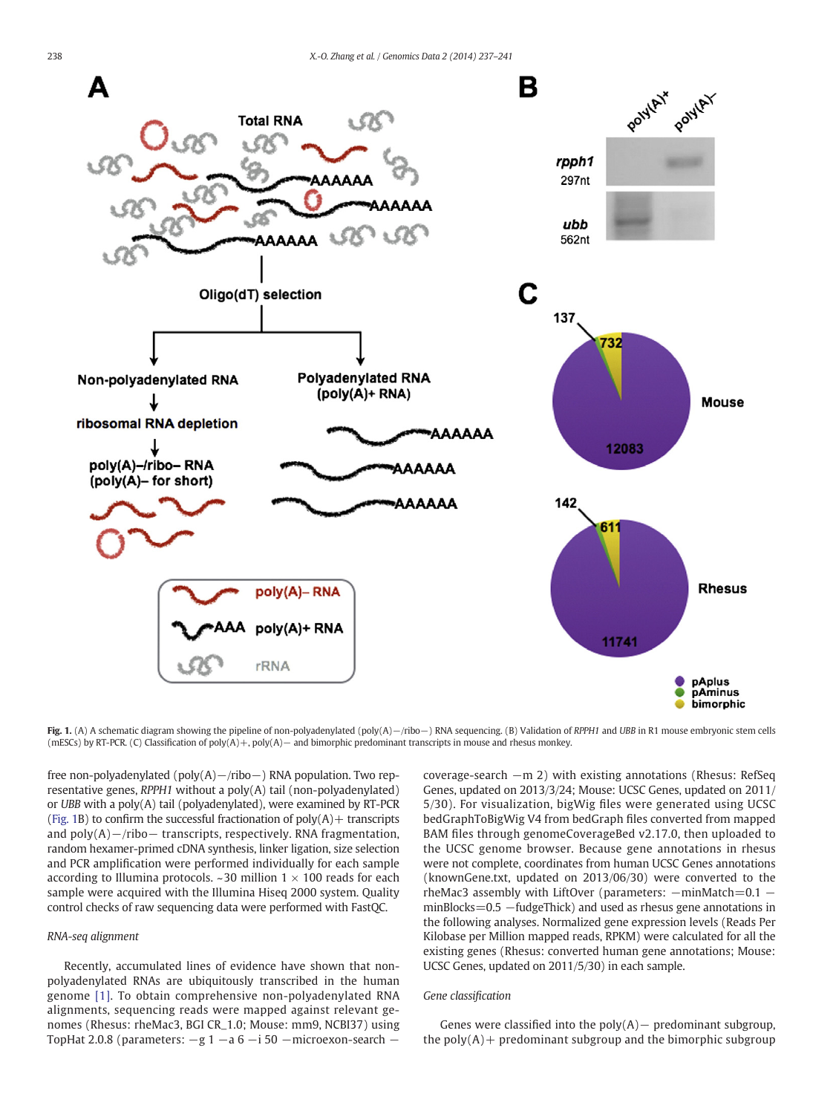<span id="page-1-0"></span>

Fig. 1. (A) A schematic diagram showing the pipeline of non-polyadenylated (poly(A)−/ribo−) RNA sequencing. (B) Validation of RPPH1 and UBB in R1 mouse embryonic stem cells (mESCs) by RT-PCR. (C) Classification of poly(A)+, poly(A)− and bimorphic predominant transcripts in mouse and rhesus monkey.

free non-polyadenylated (poly(A)−/ribo−) RNA population. Two representative genes, RPPH1 without a poly(A) tail (non-polyadenylated) or UBB with a poly(A) tail (polyadenylated), were examined by RT-PCR (Fig. 1B) to confirm the successful fractionation of  $poly(A)$  + transcripts and poly(A)−/ribo− transcripts, respectively. RNA fragmentation, random hexamer-primed cDNA synthesis, linker ligation, size selection and PCR amplification were performed individually for each sample according to Illumina protocols. ~30 million  $1 \times 100$  reads for each sample were acquired with the Illumina Hiseq 2000 system. Quality control checks of raw sequencing data were performed with FastQC.

#### RNA-seq alignment

Recently, accumulated lines of evidence have shown that nonpolyadenylated RNAs are ubiquitously transcribed in the human genome [\[1\].](#page-4-0) To obtain comprehensive non-polyadenylated RNA alignments, sequencing reads were mapped against relevant genomes (Rhesus: rheMac3, BGI CR\_1.0; Mouse: mm9, NCBI37) using TopHat 2.0.8 (parameters: −g 1 −a 6 −i 50 −microexon-search − coverage-search −m 2) with existing annotations (Rhesus: RefSeq Genes, updated on 2013/3/24; Mouse: UCSC Genes, updated on 2011/ 5/30). For visualization, bigWig files were generated using UCSC bedGraphToBigWig V4 from bedGraph files converted from mapped BAM files through genomeCoverageBed v2.17.0, then uploaded to the UCSC genome browser. Because gene annotations in rhesus were not complete, coordinates from human UCSC Genes annotations (knownGene.txt, updated on 2013/06/30) were converted to the rheMac3 assembly with LiftOver (parameters:  $-\text{minMatch}=0.1$  – minBlocks=0.5 -fudgeThick) and used as rhesus gene annotations in the following analyses. Normalized gene expression levels (Reads Per Kilobase per Million mapped reads, RPKM) were calculated for all the existing genes (Rhesus: converted human gene annotations; Mouse: UCSC Genes, updated on 2011/5/30) in each sample.

#### Gene classification

Genes were classified into the  $poly(A)$  – predominant subgroup, the  $poly(A)$  + predominant subgroup and the bimorphic subgroup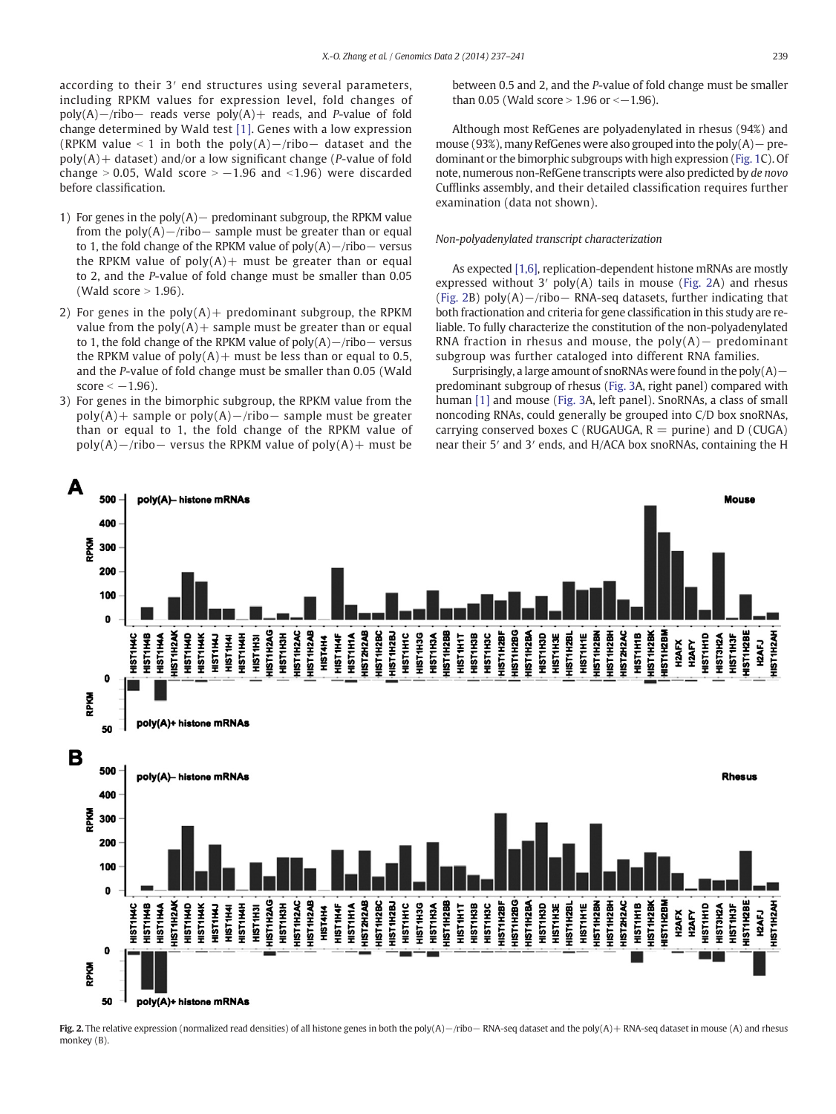according to their 3′ end structures using several parameters, including RPKM values for expression level, fold changes of poly(A)−/ribo− reads verse poly(A)+ reads, and P-value of fold change determined by Wald test [\[1\]](#page-4-0). Genes with a low expression (RPKM value < 1 in both the poly(A)−/ribo– dataset and the  $poly(A)$  + dataset) and/or a low significant change (*P*-value of fold change > 0.05, Wald score  $> -1.96$  and <1.96) were discarded before classification.

- 1) For genes in the poly(A)− predominant subgroup, the RPKM value from the poly $(A)$ −/ribo− sample must be greater than or equal to 1, the fold change of the RPKM value of poly(A)−/ribo− versus the RPKM value of  $poly(A)$  must be greater than or equal to 2, and the P-value of fold change must be smaller than 0.05 (Wald score  $> 1.96$ ).
- 2) For genes in the  $poly(A)$  + predominant subgroup, the RPKM value from the  $poly(A)$  + sample must be greater than or equal to 1, the fold change of the RPKM value of poly(A)−/ribo− versus the RPKM value of  $poly(A)$  must be less than or equal to 0.5, and the P-value of fold change must be smaller than 0.05 (Wald score  $<-1.96$ ).
- 3) For genes in the bimorphic subgroup, the RPKM value from the poly(A)+ sample or poly(A)−/ribo− sample must be greater than or equal to 1, the fold change of the RPKM value of poly(A)−/ribo− versus the RPKM value of poly(A)+ must be

between 0.5 and 2, and the P-value of fold change must be smaller than 0.05 (Wald score > 1.96 or < $-1.96$ ).

Although most RefGenes are polyadenylated in rhesus (94%) and mouse (93%), many RefGenes were also grouped into the poly(A)− predominant or the bimorphic subgroups with high expression [\(Fig. 1](#page-1-0)C). Of note, numerous non-RefGene transcripts were also predicted by de novo Cufflinks assembly, and their detailed classification requires further examination (data not shown).

#### Non-polyadenylated transcript characterization

As expected [\[1,6\]](#page-4-0), replication-dependent histone mRNAs are mostly expressed without 3′ poly(A) tails in mouse (Fig. 2A) and rhesus (Fig. 2B) poly(A)−/ribo− RNA-seq datasets, further indicating that both fractionation and criteria for gene classification in this study are reliable. To fully characterize the constitution of the non-polyadenylated RNA fraction in rhesus and mouse, the poly $(A)$  – predominant subgroup was further cataloged into different RNA families.

Surprisingly, a large amount of snoRNAs were found in the poly(A) – predominant subgroup of rhesus ([Fig. 3A](#page-3-0), right panel) compared with human [\[1\]](#page-4-0) and mouse ([Fig. 3](#page-3-0)A, left panel). SnoRNAs, a class of small noncoding RNAs, could generally be grouped into C/D box snoRNAs, carrying conserved boxes C (RUGAUGA,  $R =$  purine) and D (CUGA) near their 5′ and 3′ ends, and H/ACA box snoRNAs, containing the H



Fig. 2. The relative expression (normalized read densities) of all histone genes in both the poly(A)−/ribo− RNA-seq dataset and the poly(A)+ RNA-seq dataset in mouse (A) and rhesus monkey (B).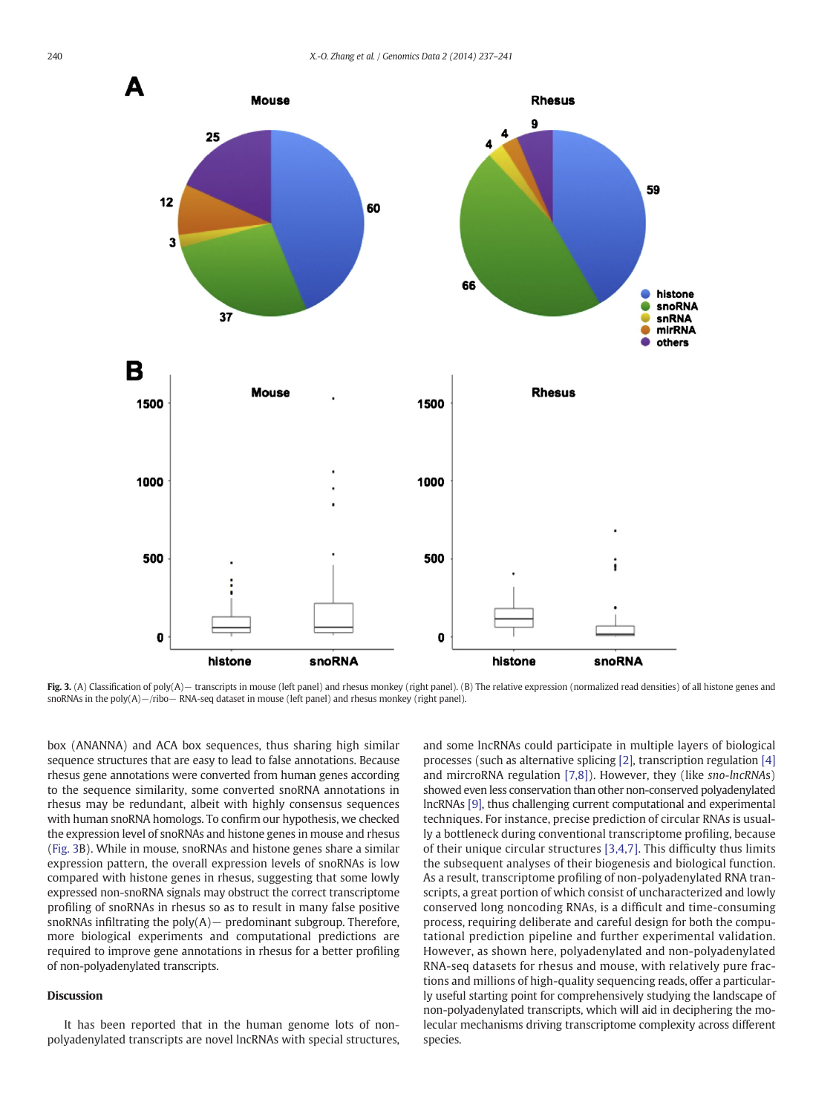<span id="page-3-0"></span>

Fig. 3. (A) Classification of poly(A) – transcripts in mouse (left panel) and rhesus monkey (right panel). (B) The relative expression (normalized read densities) of all histone genes and snoRNAs in the poly(A)−/ribo− RNA-seq dataset in mouse (left panel) and rhesus monkey (right panel).

box (ANANNA) and ACA box sequences, thus sharing high similar sequence structures that are easy to lead to false annotations. Because rhesus gene annotations were converted from human genes according to the sequence similarity, some converted snoRNA annotations in rhesus may be redundant, albeit with highly consensus sequences with human snoRNA homologs. To confirm our hypothesis, we checked the expression level of snoRNAs and histone genes in mouse and rhesus (Fig. 3B). While in mouse, snoRNAs and histone genes share a similar expression pattern, the overall expression levels of snoRNAs is low compared with histone genes in rhesus, suggesting that some lowly expressed non-snoRNA signals may obstruct the correct transcriptome profiling of snoRNAs in rhesus so as to result in many false positive snoRNAs infiltrating the poly(A)− predominant subgroup. Therefore, more biological experiments and computational predictions are required to improve gene annotations in rhesus for a better profiling of non-polyadenylated transcripts.

#### Discussion

It has been reported that in the human genome lots of nonpolyadenylated transcripts are novel lncRNAs with special structures, and some lncRNAs could participate in multiple layers of biological processes (such as alternative splicing [\[2\]](#page-4-0), transcription regulation [\[4\]](#page-4-0) and mircroRNA regulation [\[7,8\]](#page-4-0)). However, they (like sno-lncRNAs) showed even less conservation than other non-conserved polyadenylated lncRNAs [\[9\]](#page-4-0), thus challenging current computational and experimental techniques. For instance, precise prediction of circular RNAs is usually a bottleneck during conventional transcriptome profiling, because of their unique circular structures [\[3,4,7\].](#page-4-0) This difficulty thus limits the subsequent analyses of their biogenesis and biological function. As a result, transcriptome profiling of non-polyadenylated RNA transcripts, a great portion of which consist of uncharacterized and lowly conserved long noncoding RNAs, is a difficult and time-consuming process, requiring deliberate and careful design for both the computational prediction pipeline and further experimental validation. However, as shown here, polyadenylated and non-polyadenylated RNA-seq datasets for rhesus and mouse, with relatively pure fractions and millions of high-quality sequencing reads, offer a particularly useful starting point for comprehensively studying the landscape of non-polyadenylated transcripts, which will aid in deciphering the molecular mechanisms driving transcriptome complexity across different species.